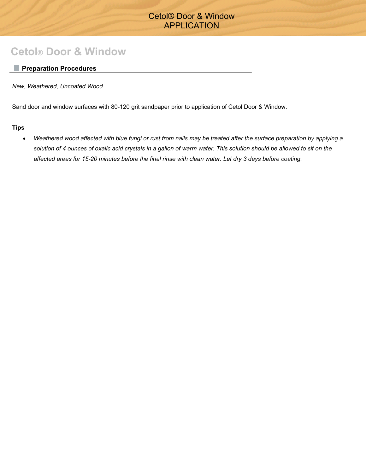# Cetol® Door & Window APPLICATION

# **Cetol® Door & Window**

# **Preparation Procedures**

*New, Weathered, Uncoated Wood* 

Sand door and window surfaces with 80-120 grit sandpaper prior to application of Cetol Door & Window.

**Tips**

• *Weathered wood affected with blue fungi or rust from nails may be treated after the surface preparation by applying a solution of 4 ounces of oxalic acid crystals in a gallon of warm water. This solution should be allowed to sit on the affected areas for 15-20 minutes before the final rinse with clean water. Let dry 3 days before coating.*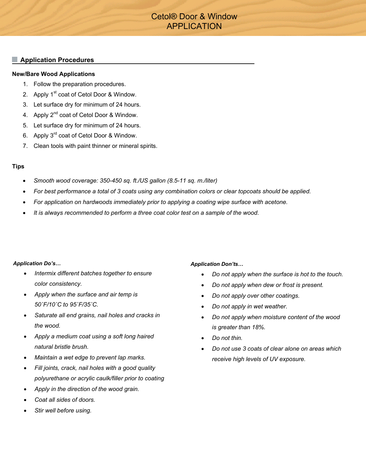# Cetol® Door & Window APPLICATION

## **Application Procedures**

#### **New/Bare Wood Applications**

- 1. Follow the preparation procedures.
- 2. Apply 1<sup>st</sup> coat of Cetol Door & Window.
- 3. Let surface dry for minimum of 24 hours.
- 4. Apply  $2^{nd}$  coat of Cetol Door & Window.
- 5. Let surface dry for minimum of 24 hours.
- 6. Apply 3<sup>rd</sup> coat of Cetol Door & Window.
- 7. Clean tools with paint thinner or mineral spirits.

## **Tips**

- *Smooth wood coverage: 350-450 sq. ft./US gallon (8.5-11 sq. m./liter)*
- *For best performance a total of 3 coats using any combination colors or clear topcoats should be applied.*
- *For application on hardwoods immediately prior to applying a coating wipe surface with acetone.*
- *It is always recommended to perform a three coat color test on a sample of the wood.*

#### *Application Do's…*

- *Intermix different batches together to ensure color consistency.*
- *Apply when the surface and air temp is 50˚F/10˚C to 95˚F/35˚C.*
- *Saturate all end grains, nail holes and cracks in the wood.*
- *Apply a medium coat using a soft long haired natural bristle brush.*
- *Maintain a wet edge to prevent lap marks.*
- *Fill joints, crack, nail holes with a good quality polyurethane or acrylic caulk/filler prior to coating*
- *Apply in the direction of the wood grain.*
- *Coat all sides of doors.*
- *Stir well before using.*

## *Application Don'ts…*

- *Do not apply when the surface is hot to the touch.*
- *Do not apply when dew or frost is present.*
- *Do not apply over other coatings.*
- *Do not apply in wet weather.*
- *Do not apply when moisture content of the wood is greater than 18%.*
- *Do not thin.*
- *Do not use 3 coats of clear alone on areas which receive high levels of UV exposure.*